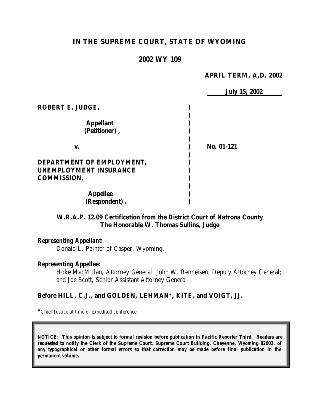# **IN THE SUPREME COURT, STATE OF WYOMING**

## **2002 WY 109**

## **APRIL TERM, A.D. 2002**

|                               | <b>July 15, 2002</b> |
|-------------------------------|----------------------|
| ROBERT E. JUDGE,              |                      |
| <b>Appellant</b>              |                      |
| (Petitioner),                 |                      |
|                               |                      |
| V.                            | No. 01-121           |
| DEPARTMENT OF EMPLOYMENT,     |                      |
| <b>UNEMPLOYMENT INSURANCE</b> |                      |
| <b>COMMISSION,</b>            |                      |
|                               |                      |
| <b>Appellee</b>               |                      |
| (Respondent).                 |                      |

## **W.R.A.P. 12.09 Certification from the District Court of Natrona County The Honorable W. Thomas Sullins, Judge**

### *Representing Appellant:*

Donald L. Painter of Casper, Wyoming.

## *Representing Appellee:*

Hoke MacMillan, Attorney General; John W. Renneisen, Deputy Attorney General; and Joe Scott, Senior Assistant Attorney General.

## **Before HILL, C.J., and GOLDEN, LEHMAN\*, KITE, and VOIGT, JJ.**

**\***Chief Justice at time of expedited conference.

*NOTICE: This opinion is subject to formal revision before publication in Pacific Reporter Third. Readers are requested to notify the Clerk of the Supreme Court, Supreme Court Building, Cheyenne, Wyoming 82002, of any typographical or other formal errors so that correction may be made before final publication in the permanent volume.*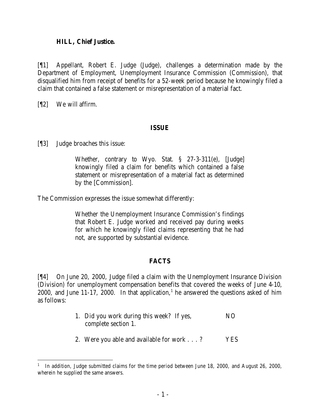## **HILL, Chief Justice.**

[¶1] Appellant, Robert E. Judge (Judge), challenges a determination made by the Department of Employment, Unemployment Insurance Commission (Commission), that disqualified him from receipt of benefits for a 52-week period because he knowingly filed a claim that contained a false statement or misrepresentation of a material fact.

[¶2] We will affirm.

## **ISSUE**

[¶3] Judge broaches this issue:

Whether, contrary to Wyo. Stat. § 27-3-311(e), [Judge] knowingly filed a claim for benefits which contained a false statement or misrepresentation of a material fact as determined by the [Commission].

The Commission expresses the issue somewhat differently:

Whether the Unemployment Insurance Commission's findings that Robert E. Judge worked and received pay during weeks for which he knowingly filed claims representing that he had not, are supported by substantial evidence.

## **FACTS**

[¶4] On June 20, 2000, Judge filed a claim with the Unemployment Insurance Division (Division) for unemployment compensation benefits that covered the weeks of June 4-10, 2000, and June 11-17, 2000. In that application,<sup>1</sup> he answered the questions asked of him as follows:

- 1. Did you work during this week? If yes, NO complete section 1.
- 2. Were you able and available for work . . . ? YES

<sup>&</sup>lt;sup>1</sup> In addition, Judge submitted claims for the time period between June 18, 2000, and August 26, 2000, wherein he supplied the same answers.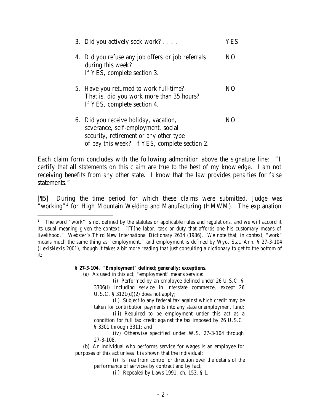| 3. Did you actively seek work?                                                                                                                                         | ′ES |
|------------------------------------------------------------------------------------------------------------------------------------------------------------------------|-----|
| 4. Did you refuse any job offers or job referrals<br>during this week?<br>If YES, complete section 3.                                                                  | NO. |
| 5. Have you returned to work full-time?<br>That is, did you work more than 35 hours?<br>If YES, complete section 4.                                                    | N() |
| 6. Did you receive holiday, vacation,<br>severance, self-employment, social<br>security, retirement or any other type<br>of pay this week? If YES, complete section 2. | NO. |

Each claim form concludes with the following admonition above the signature line: "I certify that all statements on this claim are true to the best of my knowledge. I am not receiving benefits from any other state. I know that the law provides penalties for false statements."

[¶5] During the time period for which these claims were submitted, Judge was "working"<sup>2</sup> for High Mountain Welding and Manufacturing (HMWM). The explanation

#### **§ 27-3-104. "Employment" defined; generally; exceptions.**

(a) As used in this act, "employment" means service:

(i) Performed by an employee defined under 26 U.S.C. § 3306(i) including service in interstate commerce, except 26 U.S.C.  $\S$  3121(d)(2) does not apply;

(ii) Subject to any federal tax against which credit may be taken for contribution payments into any state unemployment fund;

- (iii) Required to be employment under this act as a condition for full tax credit against the tax imposed by 26 U.S.C. § 3301 through 3311; and
- (iv) Otherwise specified under W.S. 27-3-104 through 27-3-108.

 (b) An individual who performs service for wages is an employee for purposes of this act unless it is shown that the individual:

(i) Is free from control or direction over the details of the performance of services by contract and by fact;

(ii) Repealed by Laws 1991, ch. 153, § 1.

<sup>&</sup>lt;sup>2</sup> The word "work" is not defined by the statutes or applicable rules and regulations, and we will accord it its usual meaning given the context: "[T]he labor, task or duty that affords one his customary means of livelihood." Webster's Third New International Dictionary 2634 (1986). We note that, in context, "work" means much the same thing as "employment," and employment is defined by Wyo. Stat. Ann. § 27-3-104 (LexisNexis 2001), though it takes a bit more reading that just consulting a dictionary to get to the bottom of it: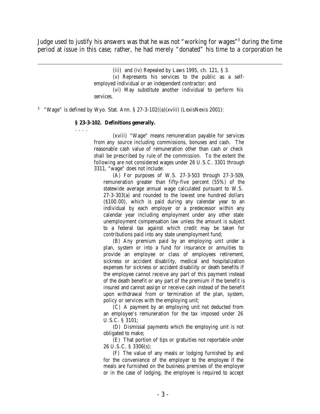Judge used to justify his answers was that he was not "working for wages"<sup>3</sup> during the time period at issue in this case; rather, he had merely "donated" his time to a corporation he

> (iii) and (iv) Repealed by Laws 1995, ch. 121, § 3. (v) Represents his services to the public as a selfemployed individual or an independent contractor; and (vi) May substitute another individual to perform his services.

<sup>3</sup> "Wage" is defined by Wyo. Stat. Ann. § 27-3-102((a)(xviii) (LexisNexis 2001):

#### **§ 23-3-102. Definitions generally.**

. . . .

(xviii) "Wage" means remuneration payable for services from any source including commissions, bonuses and cash. The reasonable cash value of remuneration other than cash or check shall be prescribed by rule of the commission. To the extent the following are not considered wages under 26 U.S.C. 3301 through 3311, "wage" does not include:

(A) For purposes of W.S. 27-3-503 through 27-3-509, remuneration greater than fifty-five percent (55%) of the statewide average annual wage calculated pursuant to W.S. 27-3-303(a) and rounded to the lowest one hundred dollars (\$100.00), which is paid during any calendar year to an individual by each employer or a predecessor within any calendar year including employment under any other state unemployment compensation law unless the amount is subject to a federal tax against which credit may be taken for contributions paid into any state unemployment fund;

(B) Any premium paid by an employing unit under a plan, system or into a fund for insurance or annuities to provide an employee or class of employees retirement, sickness or accident disability, medical and hospitalization expenses for sickness or accident disability or death benefits if the employee cannot receive any part of this payment instead of the death benefit or any part of the premium if the benefit is insured and cannot assign or receive cash instead of the benefit upon withdrawal from or termination of the plan, system, policy or services with the employing unit;

(C) A payment by an employing unit not deducted from an employee's remuneration for the tax imposed under 26 U.S.C. § 3101;

(D) Dismissal payments which the employing unit is not obligated to make;

(E) That portion of tips or gratuities not reportable under 26 U.S.C. § 3306(s);

(F) The value of any meals or lodging furnished by and for the convenience of the employer to the employee if the meals are furnished on the business premises of the employer or in the case of lodging, the employee is required to accept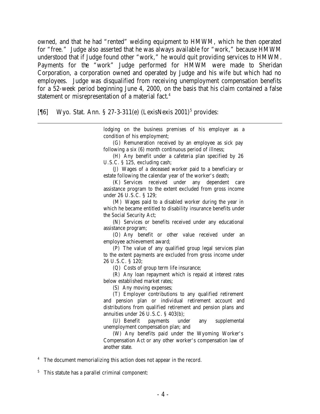owned, and that he had "rented" welding equipment to HMWM, which he then operated for "free." Judge also asserted that he was always available for "work," because HMWM understood that if Judge found other "work," he would quit providing services to HMWM. Payments for the "work" Judge performed for HMWM were made to Sheridan Corporation, a corporation owned and operated by Judge and his wife but which had no employees. Judge was disqualified from receiving unemployment compensation benefits for a 52-week period beginning June 4, 2000, on the basis that his claim contained a false statement or misrepresentation of a material fact.<sup>4</sup>

[¶6] Wyo. Stat. Ann. § 27-3-311(e) (LexisNexis 2001)<sup>5</sup> provides:

lodging on the business premises of his employer as a condition of his employment;

(G) Remuneration received by an employee as sick pay following a six (6) month continuous period of illness;

(H) Any benefit under a cafeteria plan specified by 26 U.S.C. § 125, excluding cash;

(J) Wages of a deceased worker paid to a beneficiary or estate following the calendar year of the worker's death;

(K) Services received under any dependent care assistance program to the extent excluded from gross income under 26 U.S.C. § 129;

(M) Wages paid to a disabled worker during the year in which he became entitled to disability insurance benefits under the Social Security Act;

(N) Services or benefits received under any educational assistance program;

(O) Any benefit or other value received under an employee achievement award;

(P) The value of any qualified group legal services plan to the extent payments are excluded from gross income under 26 U.S.C. § 120;

(Q) Costs of group term life insurance;

(R) Any loan repayment which is repaid at interest rates below established market rates;

(S) Any moving expenses;

(T) Employer contributions to any qualified retirement and pension plan or individual retirement account and distributions from qualified retirement and pension plans and annuities under 26 U.S.C. § 403(b);

(U) Benefit payments under any supplemental unemployment compensation plan; and

(W) Any benefits paid under the Wyoming Worker's Compensation Act or any other worker's compensation law of another state.

<sup>4</sup> The document memorializing this action does not appear in the record.

<sup>5</sup> This statute has a parallel criminal component: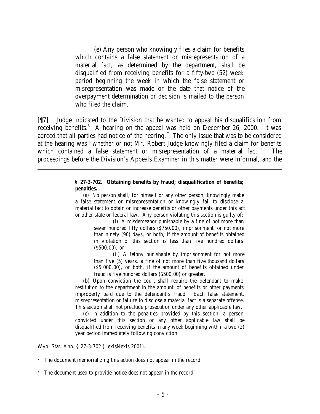(e) Any person who knowingly files a claim for benefits which contains a false statement or misrepresentation of a material fact, as determined by the department, shall be disqualified from receiving benefits for a fifty-two (52) week period beginning the week in which the false statement or misrepresentation was made or the date that notice of the overpayment determination or decision is mailed to the person who filed the claim.

[¶7] Judge indicated to the Division that he wanted to appeal his disqualification from receiving benefits.  $6 \text{ A hearing on the appeal was held on December 26, 2000. It was}$ agreed that all parties had notice of the hearing.<sup>7</sup> The only issue that was to be considered at the hearing was "whether or not Mr. Robert Judge knowingly filed a claim for benefits which contained a false statement or misrepresentation of a material fact." The proceedings before the Division's Appeals Examiner in this matter were informal, and the

#### **§ 27-3-702. Obtaining benefits by fraud; disqualification of benefits; penalties.**

 (a) No person shall, for himself or any other person, knowingly make a false statement or misrepresentation or knowingly fail to disclose a material fact to obtain or increase benefits or other payments under this act or other state or federal law. Any person violating this section is guilty of:

(i) A misdemeanor punishable by a fine of not more than seven hundred fifty dollars (\$750.00), imprisonment for not more than ninety (90) days, or both, if the amount of benefits obtained in violation of this section is less than five hundred dollars (\$500.00); or

(ii) A felony punishable by imprisonment for not more than five (5) years, a fine of not more than five thousand dollars (\$5,000.00), or both, if the amount of benefits obtained under fraud is five hundred dollars (\$500.00) or greater.

 (b) Upon conviction the court shall require the defendant to make restitution to the department in the amount of benefits or other payments improperly paid due to the defendant's fraud. Each false statement, misrepresentation or failure to disclose a material fact is a separate offense. This section shall not preclude prosecution under any other applicable law.

 (c) In addition to the penalties provided by this section, a person convicted under this section or any other applicable law shall be disqualified from receiving benefits in any week beginning within a two (2) year period immediately following conviction.

Wyo. Stat. Ann. § 27-3-702 (LexisNexis 2001).

<sup>6</sup> The document memorializing this action does not appear in the record.

 $7$  The document used to provide notice does not appear in the record.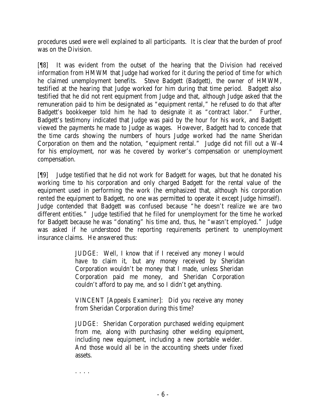procedures used were well explained to all participants. It is clear that the burden of proof was on the Division.

[¶8] It was evident from the outset of the hearing that the Division had received information from HMWM that Judge had worked for it during the period of time for which he claimed unemployment benefits. Steve Badgett (Badgett), the owner of HMWM, testified at the hearing that Judge worked for him during that time period. Badgett also testified that he did not rent equipment from Judge and that, although Judge asked that the remuneration paid to him be designated as "equipment rental," he refused to do that after Badgett's bookkeeper told him he had to designate it as "contract labor." Further, Badgett's testimony indicated that Judge was paid by the hour for his work, and Badgett viewed the payments he made to Judge as wages. However, Badgett had to concede that the time cards showing the numbers of hours Judge worked had the name Sheridan Corporation on them and the notation, "equipment rental." Judge did not fill out a W-4 for his employment, nor was he covered by worker's compensation or unemployment compensation.

[¶9] Judge testified that he did not work for Badgett for wages, but that he donated his working time to his corporation and only charged Badgett for the rental value of the equipment used in performing the work (he emphasized that, although his corporation rented the equipment to Badgett, no one was permitted to operate it except Judge himself). Judge contended that Badgett was confused because "he doesn't realize we are two different entities." Judge testified that he filed for unemployment for the time he worked for Badgett because he was "donating" his time and, thus, he "wasn't employed." Judge was asked if he understood the reporting requirements pertinent to unemployment insurance claims. He answered thus:

> JUDGE: Well, I know that if I received any money I would have to claim it, but any money received by Sheridan Corporation wouldn't be money that I made, unless Sheridan Corporation paid me money, and Sheridan Corporation couldn't afford to pay me, and so I didn't get anything.

VINCENT [Appeals Examiner]: Did you receive any money from Sheridan Corporation during this time?

JUDGE: Sheridan Corporation purchased welding equipment from me, along with purchasing other welding equipment, including new equipment, including a new portable welder. And those would all be in the accounting sheets under fixed assets.

. . . .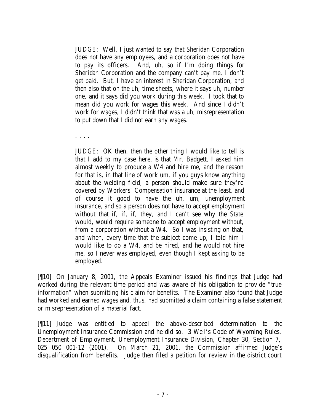JUDGE: Well, I just wanted to say that Sheridan Corporation does not have any employees, and a corporation does not have to pay its officers. And, uh, so if I'm doing things for Sheridan Corporation and the company can't pay me, I don't get paid. But, I have an interest in Sheridan Corporation, and then also that on the uh, time sheets, where it says uh, number one, and it says did you work during this week. I took that to mean did you work for wages this week. And since I didn't work for wages, I didn't think that was a uh, misrepresentation to put down that I did not earn any wages.

. . . .

JUDGE: OK then, then the other thing I would like to tell is that I add to my case here, is that Mr. Badgett, I asked him almost weekly to produce a W4 and hire me, and the reason for that is, in that line of work um, if you guys know anything about the welding field, a person should make sure they're covered by Workers' Compensation insurance at the least, and of course it good to have the uh, um, unemployment insurance, and so a person does not have to accept employment without that if, if, if, they, and I can't see why the State would, would require someone to accept employment without, from a corporation without a W4. So I was insisting on that, and when, every time that the subject come up, I told him I would like to do a W4, and be hired, and he would not hire me, so I never was employed, even though I kept asking to be employed.

[¶10] On January 8, 2001, the Appeals Examiner issued his findings that Judge had worked during the relevant time period and was aware of his obligation to provide "true information" when submitting his claim for benefits. The Examiner also found that Judge had worked and earned wages and, thus, had submitted a claim containing a false statement or misrepresentation of a material fact.

[¶11] Judge was entitled to appeal the above-described determination to the Unemployment Insurance Commission and he did so. 3 Weil's Code of Wyoming Rules, Department of Employment, Unemployment Insurance Division, Chapter 30, Section 7, 025 050 001-12 (2001). On March 21, 2001, the Commission affirmed Judge's disqualification from benefits. Judge then filed a petition for review in the district court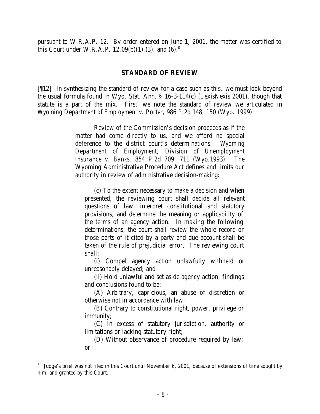pursuant to W.R.A.P. 12. By order entered on June 1, 2001, the matter was certified to this Court under W.R.A.P.  $12.09(b)(1)$ , (3), and (6).<sup>8</sup>

## **STANDARD OF REVIEW**

[¶12] In synthesizing the standard of review for a case such as this, we must look beyond the usual formula found in Wyo. Stat. Ann. § 16-3-114(c) (LexisNexis 2001), though that statute is a part of the mix. First, we note the standard of review we articulated in *Wyoming Department of Employment v. Porter*, 986 P.2d 148, 150 (Wyo. 1999):

> Review of the Commission's decision proceeds as if the matter had come directly to us, and we afford no special deference to the district court's determinations. *Wyoming Department of Employment, Division of Unemployment Insurance v. Banks*, 854 P.2d 709, 711 (Wyo.1993). The Wyoming Administrative Procedure Act defines and limits our authority in review of administrative decision-making:

(c) To the extent necessary to make a decision and when presented, the reviewing court shall decide all relevant questions of law, interpret constitutional and statutory provisions, and determine the meaning or applicability of the terms of an agency action. In making the following determinations, the court shall review the whole record or those parts of it cited by a party and due account shall be taken of the rule of prejudicial error. The reviewing court shall:

(i) Compel agency action unlawfully withheld or unreasonably delayed; and

(ii) Hold unlawful and set aside agency action, findings and conclusions found to be:

(A) Arbitrary, capricious, an abuse of discretion or otherwise not in accordance with law;

(B) Contrary to constitutional right, power, privilege or immunity;

(C) In excess of statutory jurisdiction, authority or limitations or lacking statutory right;

(D) Without observance of procedure required by law; or

<sup>&</sup>lt;sup>8</sup> Judge's brief was not filed in this Court until November 6, 2001, because of extensions of time sought by him, and granted by this Court.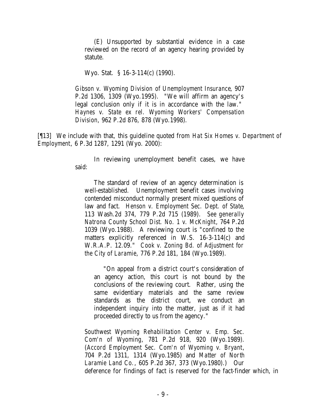(E) Unsupported by substantial evidence in a case reviewed on the record of an agency hearing provided by statute.

Wyo. Stat. § 16-3-114(c) (1990).

*Gibson v. Wyoming Division of Unemployment Insurance*, 907 P.2d 1306, 1309 (Wyo.1995). "We will affirm an agency's legal conclusion only if it is in accordance with the law." *Haynes v. State ex rel. Wyoming Workers' Compensation Division*, 962 P.2d 876, 878 (Wyo.1998).

[¶13] We include with that, this guideline quoted from *Hat Six Homes v. Department of Employment*, 6 P.3d 1287, 1291 (Wyo. 2000):

> In reviewing unemployment benefit cases, we have said:

The standard of review of an agency determination is well-established. Unemployment benefit cases involving contended misconduct normally present mixed questions of law and fact. *Henson v. Employment Sec. Dept. of State*, 113 Wash.2d 374, 779 P.2d 715 (1989). *See generally Natrona County School Dist. No. 1 v. McKnight*, 764 P.2d 1039 (Wyo.1988). A reviewing court is "confined to the matters explicitly referenced in W.S. 16-3-114(c) and W.R.A.P. 12.09." *Cook v. Zoning Bd. of Adjustment for the City of Laramie*, 776 P.2d 181, 184 (Wyo.1989).

"On appeal from a district court's consideration of an agency action, this court is not bound by the conclusions of the reviewing court. Rather, using the same evidentiary materials and the same review standards as the district court, we conduct an independent inquiry into the matter, just as if it had proceeded directly to us from the agency."

*Southwest Wyoming Rehabilitation Center v. Emp. Sec. Com'n of Wyoming*, 781 P.2d 918, 920 (Wyo.1989). (*Accord Employment Sec. Com'n of Wyoming v. Bryant*, 704 P.2d 1311, 1314 (Wyo.1985) and *Matter of North Laramie Land Co.*, 605 P.2d 367, 373 (Wyo.1980).) Our deference for findings of fact is reserved for the fact-finder which, in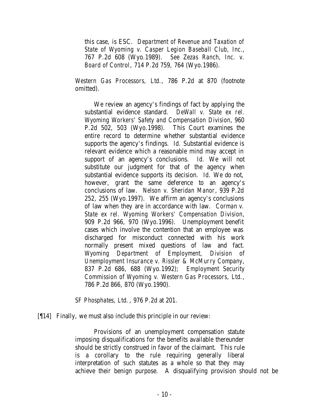this case, is ESC. *Department of Revenue and Taxation of State of Wyoming v. Casper Legion Baseball Club, Inc.*, 767 P.2d 608 (Wyo.1989). *See Zezas Ranch, Inc. v. Board of Control*, 714 P.2d 759, 764 (Wyo.1986).

*Western Gas Processors, Ltd.*, 786 P.2d at 870 (footnote omitted).

We review an agency's findings of fact by applying the substantial evidence standard. *DeWall v. State ex rel. Wyoming Workers' Safety and Compensation Division*, 960 P.2d 502, 503 (Wyo.1998). This Court examines the entire record to determine whether substantial evidence supports the agency's findings. *Id.* Substantial evidence is relevant evidence which a reasonable mind may accept in support of an agency's conclusions. *Id.* We will not substitute our judgment for that of the agency when substantial evidence supports its decision. *Id.* We do not, however, grant the same deference to an agency's conclusions of law. *Nelson v. Sheridan Manor*, 939 P.2d 252, 255 (Wyo.1997). We affirm an agency's conclusions of law when they are in accordance with law. *Corman v. State ex rel. Wyoming Workers' Compensation Division*, 909 P.2d 966, 970 (Wyo.1996). Unemployment benefit cases which involve the contention that an employee was discharged for misconduct connected with his work normally present mixed questions of law and fact. *Wyoming Department of Employment, Division of Unemployment Insurance v. Rissler & McMurry Company*, 837 P.2d 686, 688 (Wyo.1992); *Employment Security Commission of Wyoming v. Western Gas Processors, Ltd.*, 786 P.2d 866, 870 (Wyo.1990).

*SF Phosphates, Ltd.*, 976 P.2d at 201.

[¶14] Finally, we must also include this principle in our review:

Provisions of an unemployment compensation statute imposing disqualifications for the benefits available thereunder should be strictly construed in favor of the claimant. This rule is a corollary to the rule requiring generally liberal interpretation of such statutes as a whole so that they may achieve their benign purpose. A disqualifying provision should not be